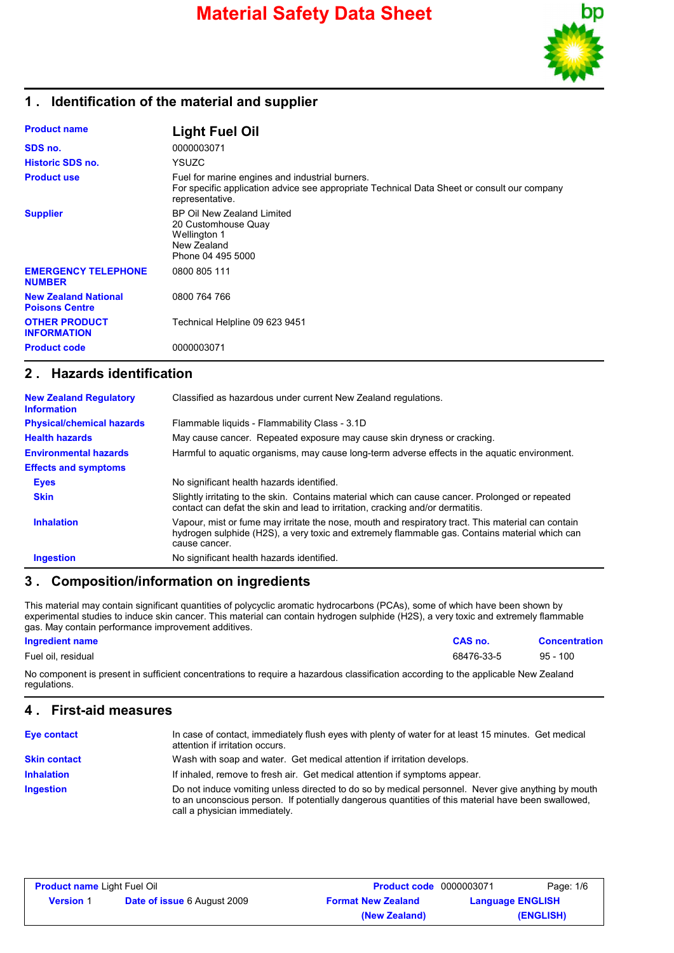# **Material Safety Data Sheet**



## **1 . Identification of the material and supplier**

| <b>Product name</b>                                  | <b>Light Fuel Oil</b>                                                                                                                                             |
|------------------------------------------------------|-------------------------------------------------------------------------------------------------------------------------------------------------------------------|
| SDS no.                                              | 0000003071                                                                                                                                                        |
| Historic SDS no.                                     | <b>YSUZC</b>                                                                                                                                                      |
| <b>Product use</b>                                   | Fuel for marine engines and industrial burners.<br>For specific application advice see appropriate Technical Data Sheet or consult our company<br>representative. |
| <b>Supplier</b>                                      | BP Oil New Zealand Limited<br>20 Customhouse Quay<br>Wellington 1<br>New Zealand<br>Phone 04 495 5000                                                             |
| <b>EMERGENCY TELEPHONE</b><br><b>NUMBER</b>          | 0800 805 111                                                                                                                                                      |
| <b>New Zealand National</b><br><b>Poisons Centre</b> | 0800 764 766                                                                                                                                                      |
| <b>OTHER PRODUCT</b><br><b>INFORMATION</b>           | Technical Helpline 09 623 9451                                                                                                                                    |
| <b>Product code</b>                                  | 0000003071                                                                                                                                                        |

### **2 . Hazards identification**

| <b>New Zealand Regulatory</b><br><b>Information</b> | Classified as hazardous under current New Zealand regulations.                                                                                                                                                        |
|-----------------------------------------------------|-----------------------------------------------------------------------------------------------------------------------------------------------------------------------------------------------------------------------|
| <b>Physical/chemical hazards</b>                    | Flammable liquids - Flammability Class - 3.1D                                                                                                                                                                         |
| <b>Health hazards</b>                               | May cause cancer. Repeated exposure may cause skin dryness or cracking.                                                                                                                                               |
| <b>Environmental hazards</b>                        | Harmful to aquatic organisms, may cause long-term adverse effects in the aquatic environment.                                                                                                                         |
| <b>Effects and symptoms</b>                         |                                                                                                                                                                                                                       |
| <b>Eyes</b>                                         | No significant health hazards identified.                                                                                                                                                                             |
| <b>Skin</b>                                         | Slightly irritating to the skin. Contains material which can cause cancer. Prolonged or repeated<br>contact can defat the skin and lead to irritation, cracking and/or dermatitis.                                    |
| <b>Inhalation</b>                                   | Vapour, mist or fume may irritate the nose, mouth and respiratory tract. This material can contain<br>hydrogen sulphide (H2S), a very toxic and extremely flammable gas. Contains material which can<br>cause cancer. |
| <b>Ingestion</b>                                    | No significant health hazards identified.                                                                                                                                                                             |

## **3 . Composition/information on ingredients**

This material may contain significant quantities of polycyclic aromatic hydrocarbons (PCAs), some of which have been shown by experimental studies to induce skin cancer. This material can contain hydrogen sulphide (H2S), a very toxic and extremely flammable gas. May contain performance improvement additives.

### **Ingredient name CAS no. Concentration**

Fuel oil, residual 68476-33-5 95 - 100

No component is present in sufficient concentrations to require a hazardous classification according to the applicable New Zealand regulations.

### **4 . First-aid measures**

| <b>Eye contact</b>  | In case of contact, immediately flush eyes with plenty of water for at least 15 minutes. Get medical<br>attention if irritation occurs.                                                                                                    |
|---------------------|--------------------------------------------------------------------------------------------------------------------------------------------------------------------------------------------------------------------------------------------|
| <b>Skin contact</b> | Wash with soap and water. Get medical attention if irritation develops.                                                                                                                                                                    |
| <b>Inhalation</b>   | If inhaled, remove to fresh air. Get medical attention if symptoms appear.                                                                                                                                                                 |
| <b>Ingestion</b>    | Do not induce vomiting unless directed to do so by medical personnel. Never give anything by mouth<br>to an unconscious person. If potentially dangerous quantities of this material have been swallowed,<br>call a physician immediately. |

| <b>Product name Light Fuel Oil</b> |                                    | <b>Product code</b> 0000003071 |                         | Page: 1/6 |
|------------------------------------|------------------------------------|--------------------------------|-------------------------|-----------|
| <b>Version</b> 1                   | <b>Date of issue 6 August 2009</b> | <b>Format New Zealand</b>      | <b>Language ENGLISH</b> |           |
|                                    |                                    | (New Zealand)                  |                         | (ENGLISH) |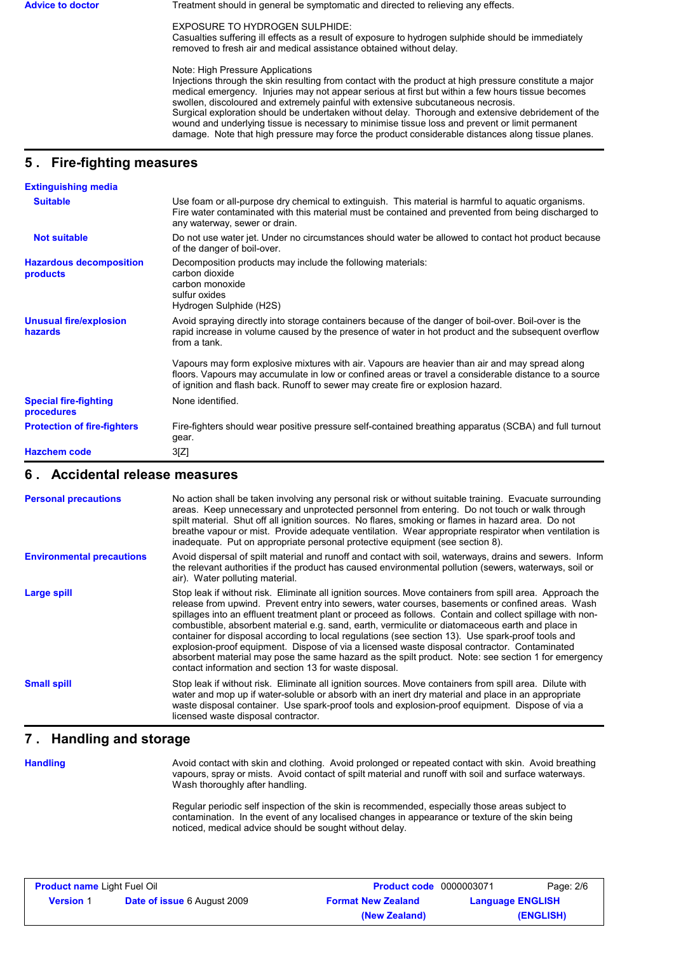Advice to doctor **Treatment should in general be symptomatic and directed to relieving any effects.** 

EXPOSURE TO HYDROGEN SULPHIDE:

Casualties suffering ill effects as a result of exposure to hydrogen sulphide should be immediately removed to fresh air and medical assistance obtained without delay.

Note: High Pressure Applications

Injections through the skin resulting from contact with the product at high pressure constitute a major medical emergency. Injuries may not appear serious at first but within a few hours tissue becomes swollen, discoloured and extremely painful with extensive subcutaneous necrosis. Surgical exploration should be undertaken without delay. Thorough and extensive debridement of the wound and underlying tissue is necessary to minimise tissue loss and prevent or limit permanent damage. Note that high pressure may force the product considerable distances along tissue planes.

# **5 . Fire-fighting measures**

| <b>Extinguishing media</b>                 |                                                                                                                                                                                                                                                                                              |
|--------------------------------------------|----------------------------------------------------------------------------------------------------------------------------------------------------------------------------------------------------------------------------------------------------------------------------------------------|
| <b>Suitable</b>                            | Use foam or all-purpose dry chemical to extinguish. This material is harmful to aquatic organisms.<br>Fire water contaminated with this material must be contained and prevented from being discharged to<br>any waterway, sewer or drain.                                                   |
| <b>Not suitable</b>                        | Do not use water jet. Under no circumstances should water be allowed to contact hot product because<br>of the danger of boil-over.                                                                                                                                                           |
| <b>Hazardous decomposition</b><br>products | Decomposition products may include the following materials:<br>carbon dioxide<br>carbon monoxide<br>sulfur oxides<br>Hydrogen Sulphide (H2S)                                                                                                                                                 |
| <b>Unusual fire/explosion</b><br>hazards   | Avoid spraying directly into storage containers because of the danger of boil-over. Boil-over is the<br>rapid increase in volume caused by the presence of water in hot product and the subsequent overflow<br>from a tank.                                                                  |
|                                            | Vapours may form explosive mixtures with air. Vapours are heavier than air and may spread along<br>floors. Vapours may accumulate in low or confined areas or travel a considerable distance to a source<br>of ignition and flash back. Runoff to sewer may create fire or explosion hazard. |
| <b>Special fire-fighting</b><br>procedures | None identified.                                                                                                                                                                                                                                                                             |
| <b>Protection of fire-fighters</b>         | Fire-fighters should wear positive pressure self-contained breathing apparatus (SCBA) and full turnout<br>gear.                                                                                                                                                                              |
| <b>Hazchem code</b>                        | 3[Z]                                                                                                                                                                                                                                                                                         |

### **6 . Accidental release measures**

| <b>Personal precautions</b>      | No action shall be taken involving any personal risk or without suitable training. Evacuate surrounding<br>areas. Keep unnecessary and unprotected personnel from entering. Do not touch or walk through<br>spilt material. Shut off all ignition sources. No flares, smoking or flames in hazard area. Do not<br>breathe vapour or mist. Provide adequate ventilation. Wear appropriate respirator when ventilation is<br>inadequate. Put on appropriate personal protective equipment (see section 8).                                                                                                                                                                                                                                                                                           |
|----------------------------------|----------------------------------------------------------------------------------------------------------------------------------------------------------------------------------------------------------------------------------------------------------------------------------------------------------------------------------------------------------------------------------------------------------------------------------------------------------------------------------------------------------------------------------------------------------------------------------------------------------------------------------------------------------------------------------------------------------------------------------------------------------------------------------------------------|
| <b>Environmental precautions</b> | Avoid dispersal of spilt material and runoff and contact with soil, waterways, drains and sewers. Inform<br>the relevant authorities if the product has caused environmental pollution (sewers, waterways, soil or<br>air). Water polluting material.                                                                                                                                                                                                                                                                                                                                                                                                                                                                                                                                              |
| Large spill                      | Stop leak if without risk. Eliminate all ignition sources. Move containers from spill area. Approach the<br>release from upwind. Prevent entry into sewers, water courses, basements or confined areas. Wash<br>spillages into an effluent treatment plant or proceed as follows. Contain and collect spillage with non-<br>combustible, absorbent material e.g. sand, earth, vermiculite or diatomaceous earth and place in<br>container for disposal according to local regulations (see section 13). Use spark-proof tools and<br>explosion-proof equipment. Dispose of via a licensed waste disposal contractor. Contaminated<br>absorbent material may pose the same hazard as the spilt product. Note: see section 1 for emergency<br>contact information and section 13 for waste disposal. |
| <b>Small spill</b>               | Stop leak if without risk. Eliminate all ignition sources. Move containers from spill area. Dilute with<br>water and mop up if water-soluble or absorb with an inert dry material and place in an appropriate<br>waste disposal container. Use spark-proof tools and explosion-proof equipment. Dispose of via a<br>licensed waste disposal contractor.                                                                                                                                                                                                                                                                                                                                                                                                                                            |

## **7 . Handling and storage**

**Handling**

Avoid contact with skin and clothing. Avoid prolonged or repeated contact with skin. Avoid breathing vapours, spray or mists. Avoid contact of spilt material and runoff with soil and surface waterways. Wash thoroughly after handling.

Regular periodic self inspection of the skin is recommended, especially those areas subject to contamination. In the event of any localised changes in appearance or texture of the skin being noticed, medical advice should be sought without delay.

| <b>Product name Light Fuel Oil</b> |                                    | <b>Product code</b> 0000003071 |                         | Page: 2/6 |
|------------------------------------|------------------------------------|--------------------------------|-------------------------|-----------|
| <b>Version 1</b>                   | <b>Date of issue 6 August 2009</b> | <b>Format New Zealand</b>      | <b>Language ENGLISH</b> |           |
|                                    |                                    | (New Zealand)                  |                         | (ENGLISH) |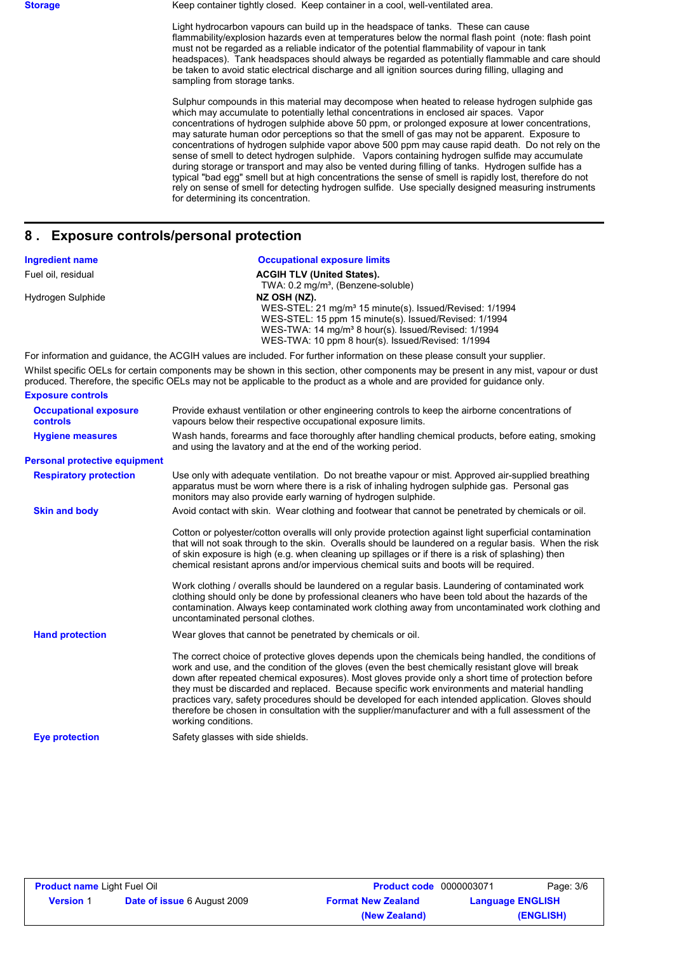**Storage** Keep container tightly closed. Keep container in a cool, well-ventilated area.

Light hydrocarbon vapours can build up in the headspace of tanks. These can cause flammability/explosion hazards even at temperatures below the normal flash point (note: flash point must not be regarded as a reliable indicator of the potential flammability of vapour in tank headspaces). Tank headspaces should always be regarded as potentially flammable and care should be taken to avoid static electrical discharge and all ignition sources during filling, ullaging and sampling from storage tanks.

Sulphur compounds in this material may decompose when heated to release hydrogen sulphide gas which may accumulate to potentially lethal concentrations in enclosed air spaces. Vapor concentrations of hydrogen sulphide above 50 ppm, or prolonged exposure at lower concentrations, may saturate human odor perceptions so that the smell of gas may not be apparent. Exposure to concentrations of hydrogen sulphide vapor above 500 ppm may cause rapid death. Do not rely on the sense of smell to detect hydrogen sulphide. Vapors containing hydrogen sulfide may accumulate during storage or transport and may also be vented during filling of tanks. Hydrogen sulfide has a typical "bad egg" smell but at high concentrations the sense of smell is rapidly lost, therefore do not rely on sense of smell for detecting hydrogen sulfide. Use specially designed measuring instruments for determining its concentration.

### **8 . Exposure controls/personal protection**

| <b>Ingredient name</b> | <b>Occupational exposure limits</b>                                                                                         |
|------------------------|-----------------------------------------------------------------------------------------------------------------------------|
| Fuel oil, residual     | <b>ACGIH TLV (United States).</b>                                                                                           |
|                        | TWA: 0.2 mg/m <sup>3</sup> , (Benzene-soluble)                                                                              |
| Hydrogen Sulphide      | NZ OSH (NZ).                                                                                                                |
|                        | WES-STEL: 21 mg/m <sup>3</sup> 15 minute(s). Issued/Revised: 1/1994                                                         |
|                        | WES-STEL: 15 ppm 15 minute(s). Issued/Revised: 1/1994                                                                       |
|                        | WES-TWA: 14 mg/m <sup>3</sup> 8 hour(s). Issued/Revised: 1/1994                                                             |
|                        | WES-TWA: 10 ppm 8 hour(s). Issued/Revised: 1/1994                                                                           |
|                        | For information and quidance, the ACGIH values are included. For further information on these please consult your supplier. |

Whilst specific OELs for certain components may be shown in this section, other components may be present in any mist, vapour or dust produced. Therefore, the specific OELs may not be applicable to the product as a whole and are provided for guidance only. **Exposure controls**

| ביוטייני של האפטאר                       |                                                                                                                                                                                                                                                                                                                                                                                                                                                                                                                                                                                                                                                                                                                                                                     |
|------------------------------------------|---------------------------------------------------------------------------------------------------------------------------------------------------------------------------------------------------------------------------------------------------------------------------------------------------------------------------------------------------------------------------------------------------------------------------------------------------------------------------------------------------------------------------------------------------------------------------------------------------------------------------------------------------------------------------------------------------------------------------------------------------------------------|
| <b>Occupational exposure</b><br>controls | Provide exhaust ventilation or other engineering controls to keep the airborne concentrations of<br>vapours below their respective occupational exposure limits.                                                                                                                                                                                                                                                                                                                                                                                                                                                                                                                                                                                                    |
| <b>Hygiene measures</b>                  | Wash hands, forearms and face thoroughly after handling chemical products, before eating, smoking<br>and using the lavatory and at the end of the working period.                                                                                                                                                                                                                                                                                                                                                                                                                                                                                                                                                                                                   |
| <b>Personal protective equipment</b>     |                                                                                                                                                                                                                                                                                                                                                                                                                                                                                                                                                                                                                                                                                                                                                                     |
| <b>Respiratory protection</b>            | Use only with adequate ventilation. Do not breathe vapour or mist. Approved air-supplied breathing<br>apparatus must be worn where there is a risk of inhaling hydrogen sulphide gas. Personal gas<br>monitors may also provide early warning of hydrogen sulphide.                                                                                                                                                                                                                                                                                                                                                                                                                                                                                                 |
| <b>Skin and body</b>                     | Avoid contact with skin. Wear clothing and footwear that cannot be penetrated by chemicals or oil.                                                                                                                                                                                                                                                                                                                                                                                                                                                                                                                                                                                                                                                                  |
|                                          | Cotton or polyester/cotton overalls will only provide protection against light superficial contamination<br>that will not soak through to the skin. Overalls should be laundered on a regular basis. When the risk<br>of skin exposure is high (e.g. when cleaning up spillages or if there is a risk of splashing) then<br>chemical resistant aprons and/or impervious chemical suits and boots will be required.<br>Work clothing / overalls should be laundered on a regular basis. Laundering of contaminated work<br>clothing should only be done by professional cleaners who have been told about the hazards of the<br>contamination. Always keep contaminated work clothing away from uncontaminated work clothing and<br>uncontaminated personal clothes. |
| <b>Hand protection</b>                   | Wear gloves that cannot be penetrated by chemicals or oil.                                                                                                                                                                                                                                                                                                                                                                                                                                                                                                                                                                                                                                                                                                          |
|                                          | The correct choice of protective gloves depends upon the chemicals being handled, the conditions of<br>work and use, and the condition of the gloves (even the best chemically resistant glove will break<br>down after repeated chemical exposures). Most gloves provide only a short time of protection before<br>they must be discarded and replaced. Because specific work environments and material handling<br>practices vary, safety procedures should be developed for each intended application. Gloves should<br>therefore be chosen in consultation with the supplier/manufacturer and with a full assessment of the<br>working conditions.                                                                                                              |
| <b>Eve protection</b>                    | Safety glasses with side shields.                                                                                                                                                                                                                                                                                                                                                                                                                                                                                                                                                                                                                                                                                                                                   |

| <b>Product name Light Fuel Oil</b> |                                    | <b>Product code</b> 0000003071 | Page: 3/6               |
|------------------------------------|------------------------------------|--------------------------------|-------------------------|
| <b>Version 1</b>                   | <b>Date of issue 6 August 2009</b> | <b>Format New Zealand</b>      | <b>Language ENGLISH</b> |
|                                    |                                    | (New Zealand)                  | (ENGLISH)               |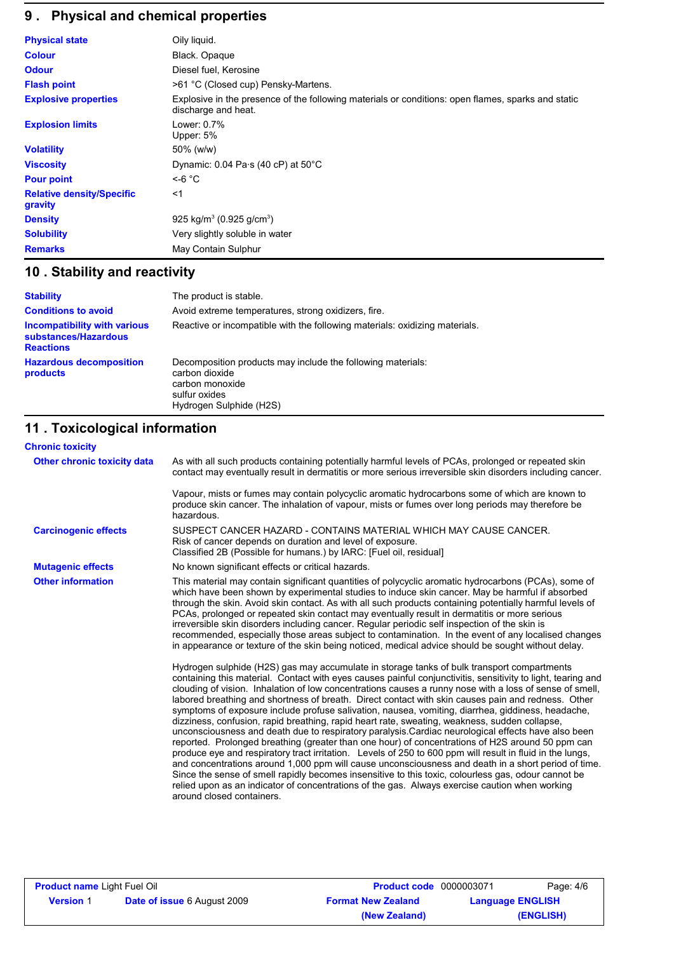# **9 . Physical and chemical properties**

| <b>Physical state</b>                       | Oily liquid.                                                                                                              |
|---------------------------------------------|---------------------------------------------------------------------------------------------------------------------------|
| <b>Colour</b>                               | Black. Opaque                                                                                                             |
| <b>Odour</b>                                | Diesel fuel, Kerosine                                                                                                     |
| <b>Flash point</b>                          | >61 °C (Closed cup) Pensky-Martens.                                                                                       |
| <b>Explosive properties</b>                 | Explosive in the presence of the following materials or conditions: open flames, sparks and static<br>discharge and heat. |
| <b>Explosion limits</b>                     | Lower: 0.7%<br>Upper: 5%                                                                                                  |
| <b>Volatility</b>                           | 50% (w/w)                                                                                                                 |
| <b>Viscosity</b>                            | Dynamic: $0.04$ Pa $\cdot$ s (40 cP) at 50 $\degree$ C                                                                    |
| <b>Pour point</b>                           | $<$ -6 °C                                                                                                                 |
| <b>Relative density/Specific</b><br>gravity | $<$ 1                                                                                                                     |
| <b>Density</b>                              | 925 kg/m <sup>3</sup> (0.925 g/cm <sup>3</sup> )                                                                          |
| <b>Solubility</b>                           | Very slightly soluble in water                                                                                            |
| <b>Remarks</b>                              | May Contain Sulphur                                                                                                       |

# **10 . Stability and reactivity**

| <b>Stability</b>                                                                | The product is stable.                                                                                                                       |
|---------------------------------------------------------------------------------|----------------------------------------------------------------------------------------------------------------------------------------------|
| <b>Conditions to avoid</b>                                                      | Avoid extreme temperatures, strong oxidizers, fire.                                                                                          |
| <b>Incompatibility with various</b><br>substances/Hazardous<br><b>Reactions</b> | Reactive or incompatible with the following materials: oxidizing materials.                                                                  |
| <b>Hazardous decomposition</b><br>products                                      | Decomposition products may include the following materials:<br>carbon dioxide<br>carbon monoxide<br>sulfur oxides<br>Hydrogen Sulphide (H2S) |

# **11 . Toxicological information**

| <b>Chronic toxicity</b>     |                                                                                                                                                                                                                                                                                                                                                                                                                                                                                                                                                                                                                                                                                                                                                                                                                                                                                                                                                                                                                                                                                                                                                                                                                                                                                                                                                                                                                                                                                                                                                                                                                                                                                                |
|-----------------------------|------------------------------------------------------------------------------------------------------------------------------------------------------------------------------------------------------------------------------------------------------------------------------------------------------------------------------------------------------------------------------------------------------------------------------------------------------------------------------------------------------------------------------------------------------------------------------------------------------------------------------------------------------------------------------------------------------------------------------------------------------------------------------------------------------------------------------------------------------------------------------------------------------------------------------------------------------------------------------------------------------------------------------------------------------------------------------------------------------------------------------------------------------------------------------------------------------------------------------------------------------------------------------------------------------------------------------------------------------------------------------------------------------------------------------------------------------------------------------------------------------------------------------------------------------------------------------------------------------------------------------------------------------------------------------------------------|
| Other chronic toxicity data | As with all such products containing potentially harmful levels of PCAs, prolonged or repeated skin<br>contact may eventually result in dermatitis or more serious irreversible skin disorders including cancer.                                                                                                                                                                                                                                                                                                                                                                                                                                                                                                                                                                                                                                                                                                                                                                                                                                                                                                                                                                                                                                                                                                                                                                                                                                                                                                                                                                                                                                                                               |
|                             | Vapour, mists or fumes may contain polycyclic aromatic hydrocarbons some of which are known to<br>produce skin cancer. The inhalation of vapour, mists or fumes over long periods may therefore be<br>hazardous.                                                                                                                                                                                                                                                                                                                                                                                                                                                                                                                                                                                                                                                                                                                                                                                                                                                                                                                                                                                                                                                                                                                                                                                                                                                                                                                                                                                                                                                                               |
| <b>Carcinogenic effects</b> | SUSPECT CANCER HAZARD - CONTAINS MATERIAL WHICH MAY CAUSE CANCER.<br>Risk of cancer depends on duration and level of exposure.<br>Classified 2B (Possible for humans.) by IARC: [Fuel oil, residual]                                                                                                                                                                                                                                                                                                                                                                                                                                                                                                                                                                                                                                                                                                                                                                                                                                                                                                                                                                                                                                                                                                                                                                                                                                                                                                                                                                                                                                                                                           |
| <b>Mutagenic effects</b>    | No known significant effects or critical hazards.                                                                                                                                                                                                                                                                                                                                                                                                                                                                                                                                                                                                                                                                                                                                                                                                                                                                                                                                                                                                                                                                                                                                                                                                                                                                                                                                                                                                                                                                                                                                                                                                                                              |
| <b>Other information</b>    | This material may contain significant quantities of polycyclic aromatic hydrocarbons (PCAs), some of<br>which have been shown by experimental studies to induce skin cancer. May be harmful if absorbed<br>through the skin. Avoid skin contact. As with all such products containing potentially harmful levels of<br>PCAs, prolonged or repeated skin contact may eventually result in dermatitis or more serious<br>irreversible skin disorders including cancer. Regular periodic self inspection of the skin is<br>recommended, especially those areas subject to contamination. In the event of any localised changes<br>in appearance or texture of the skin being noticed, medical advice should be sought without delay.<br>Hydrogen sulphide (H2S) gas may accumulate in storage tanks of bulk transport compartments<br>containing this material. Contact with eyes causes painful conjunctivitis, sensitivity to light, tearing and<br>clouding of vision. Inhalation of low concentrations causes a runny nose with a loss of sense of smell,<br>labored breathing and shortness of breath. Direct contact with skin causes pain and redness. Other<br>symptoms of exposure include profuse salivation, nausea, vomiting, diarrhea, giddiness, headache,<br>dizziness, confusion, rapid breathing, rapid heart rate, sweating, weakness, sudden collapse,<br>unconsciousness and death due to respiratory paralysis. Cardiac neurological effects have also been<br>reported. Prolonged breathing (greater than one hour) of concentrations of H2S around 50 ppm can<br>produce eye and respiratory tract irritation. Levels of 250 to 600 ppm will result in fluid in the lungs, |
|                             | and concentrations around 1,000 ppm will cause unconsciousness and death in a short period of time.<br>Since the sense of smell rapidly becomes insensitive to this toxic, colourless gas, odour cannot be<br>relied upon as an indicator of concentrations of the gas. Always exercise caution when working<br>around closed containers.                                                                                                                                                                                                                                                                                                                                                                                                                                                                                                                                                                                                                                                                                                                                                                                                                                                                                                                                                                                                                                                                                                                                                                                                                                                                                                                                                      |

| <b>Product name Light Fuel Oil</b> |                                    | <b>Product code</b> 0000003071 |                         | Page: 4/6 |
|------------------------------------|------------------------------------|--------------------------------|-------------------------|-----------|
| <b>Version 1</b>                   | <b>Date of issue 6 August 2009</b> | <b>Format New Zealand</b>      | <b>Language ENGLISH</b> |           |
|                                    |                                    | (New Zealand)                  |                         | (ENGLISH) |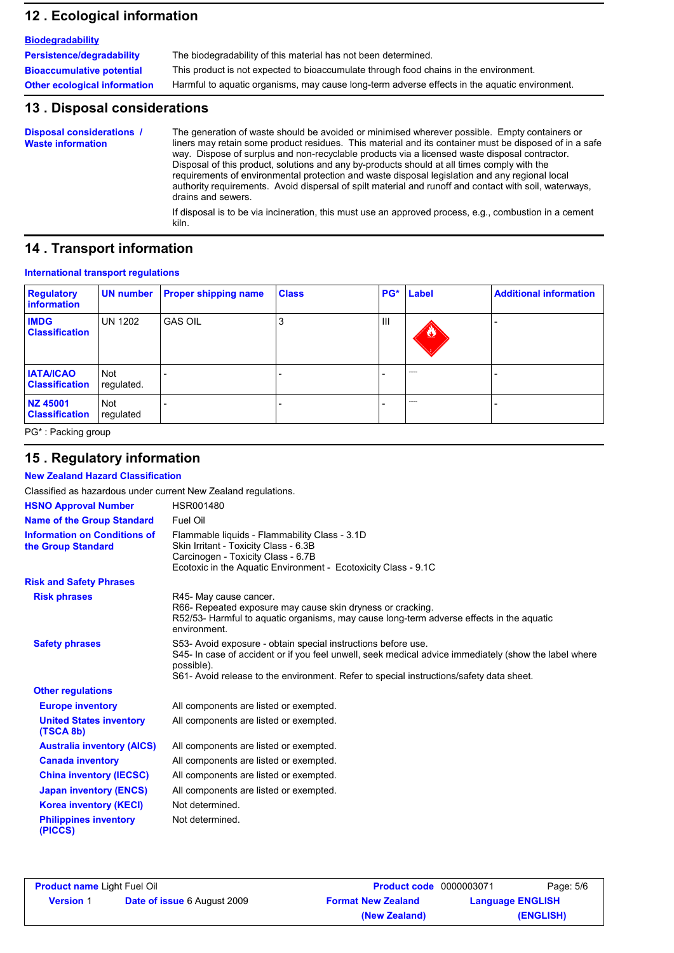## **12 . Ecological information**

| <b>Biodegradability</b>             |                                                                                               |
|-------------------------------------|-----------------------------------------------------------------------------------------------|
| Persistence/degradability           | The biodegradability of this material has not been determined.                                |
| <b>Bioaccumulative potential</b>    | This product is not expected to bioaccumulate through food chains in the environment.         |
| <b>Other ecological information</b> | Harmful to aquatic organisms, may cause long-term adverse effects in the aquatic environment. |

### **13 . Disposal considerations**

The generation of waste should be avoided or minimised wherever possible. Empty containers or liners may retain some product residues. This material and its container must be disposed of in a safe way. Dispose of surplus and non-recyclable products via a licensed waste disposal contractor. Disposal of this product, solutions and any by-products should at all times comply with the requirements of environmental protection and waste disposal legislation and any regional local authority requirements. Avoid dispersal of spilt material and runoff and contact with soil, waterways, drains and sewers. **Disposal considerations / Waste information**

If disposal is to be via incineration, this must use an approved process, e.g., combustion in a cement kiln.

### **14 . Transport information**

### **International transport regulations**

| <b>Regulatory</b><br>information          | UN number                | <b>Proper shipping name</b> | <b>Class</b> |     | PG* Label         | <b>Additional information</b> |
|-------------------------------------------|--------------------------|-----------------------------|--------------|-----|-------------------|-------------------------------|
| <b>IMDG</b><br><b>Classification</b>      | <b>UN 1202</b>           | <b>GAS OIL</b>              | J.           | III | $\bf{z}$          |                               |
| <b>IATA/ICAO</b><br><b>Classification</b> | <b>Not</b><br>regulated. |                             |              |     | <b>STATISTICS</b> |                               |
| NZ 45001<br><b>Classification</b>         | Not<br>regulated         |                             |              |     | <b>STATISTICS</b> |                               |

PG\* : Packing group

## **15 . Regulatory information**

**New Zealand Hazard Classification**

| Classified as hazardous under current New Zealand regulations. |                                                                                                                                                                                                                                                                                 |
|----------------------------------------------------------------|---------------------------------------------------------------------------------------------------------------------------------------------------------------------------------------------------------------------------------------------------------------------------------|
| <b>HSNO Approval Number</b>                                    | <b>HSR001480</b>                                                                                                                                                                                                                                                                |
| <b>Name of the Group Standard</b>                              | Fuel Oil                                                                                                                                                                                                                                                                        |
| <b>Information on Conditions of</b><br>the Group Standard      | Flammable liquids - Flammability Class - 3.1D<br>Skin Irritant - Toxicity Class - 6.3B<br>Carcinogen - Toxicity Class - 6.7B<br>Ecotoxic in the Aquatic Environment - Ecotoxicity Class - 9.1C                                                                                  |
| <b>Risk and Safety Phrases</b>                                 |                                                                                                                                                                                                                                                                                 |
| <b>Risk phrases</b>                                            | R45- May cause cancer.<br>R66- Repeated exposure may cause skin dryness or cracking.<br>R52/53- Harmful to aquatic organisms, may cause long-term adverse effects in the aquatic<br>environment.                                                                                |
| <b>Safety phrases</b>                                          | S53- Avoid exposure - obtain special instructions before use.<br>S45- In case of accident or if you feel unwell, seek medical advice immediately (show the label where<br>possible).<br>S61- Avoid release to the environment. Refer to special instructions/safety data sheet. |
| <b>Other regulations</b>                                       |                                                                                                                                                                                                                                                                                 |
| <b>Europe inventory</b>                                        | All components are listed or exempted.                                                                                                                                                                                                                                          |
| <b>United States inventory</b><br>(TSCA 8b)                    | All components are listed or exempted.                                                                                                                                                                                                                                          |
| <b>Australia inventory (AICS)</b>                              | All components are listed or exempted.                                                                                                                                                                                                                                          |
| <b>Canada inventory</b>                                        | All components are listed or exempted.                                                                                                                                                                                                                                          |
| <b>China inventory (IECSC)</b>                                 | All components are listed or exempted.                                                                                                                                                                                                                                          |
| <b>Japan inventory (ENCS)</b>                                  | All components are listed or exempted.                                                                                                                                                                                                                                          |
| <b>Korea inventory (KECI)</b>                                  | Not determined.                                                                                                                                                                                                                                                                 |
| <b>Philippines inventory</b><br>(PICCS)                        | Not determined.                                                                                                                                                                                                                                                                 |

| <b>Product name Light Fuel Oil</b> |                                    | <b>Product code</b> 0000003071 |                         | Page: 5/6 |  |
|------------------------------------|------------------------------------|--------------------------------|-------------------------|-----------|--|
| <b>Version 1</b>                   | <b>Date of issue 6 August 2009</b> | <b>Format New Zealand</b>      | <b>Language ENGLISH</b> |           |  |
|                                    |                                    | (New Zealand)                  |                         | (ENGLISH) |  |